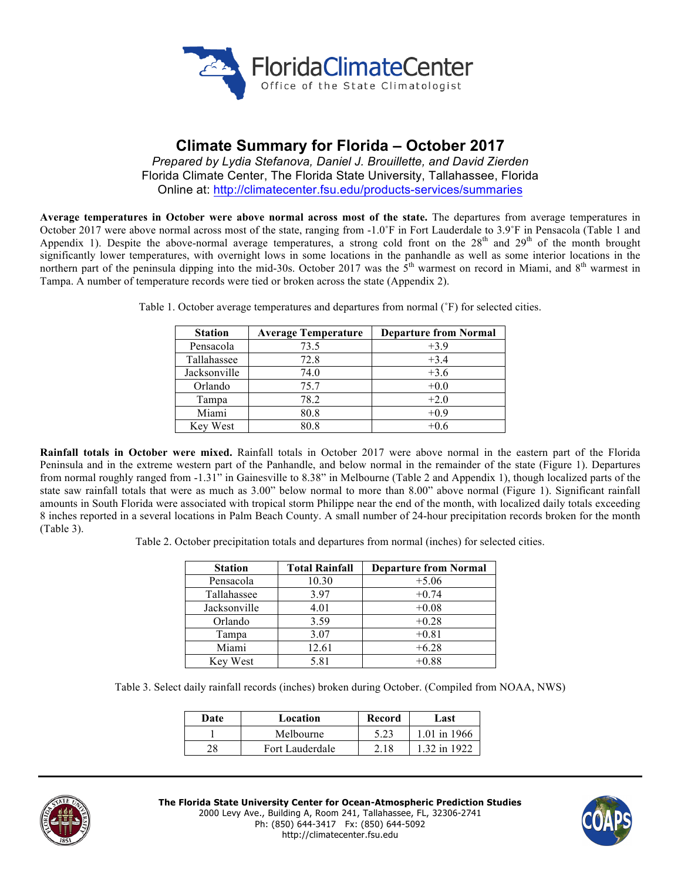

# **Climate Summary for Florida – October 2017**

*Prepared by Lydia Stefanova, Daniel J. Brouillette, and David Zierden* Florida Climate Center, The Florida State University, Tallahassee, Florida Online at: http://climatecenter.fsu.edu/products-services/summaries

**Average temperatures in October were above normal across most of the state.** The departures from average temperatures in October 2017 were above normal across most of the state, ranging from -1.0˚F in Fort Lauderdale to 3.9˚F in Pensacola (Table 1 and Appendix 1). Despite the above-normal average temperatures, a strong cold front on the  $28<sup>th</sup>$  and  $29<sup>th</sup>$  of the month brought significantly lower temperatures, with overnight lows in some locations in the panhandle as well as some interior locations in the northern part of the peninsula dipping into the mid-30s. October 2017 was the  $5<sup>th</sup>$  warmest on record in Miami, and  $8<sup>th</sup>$  warmest in Tampa. A number of temperature records were tied or broken across the state (Appendix 2).

| <b>Station</b> | <b>Average Temperature</b> | <b>Departure from Normal</b> |
|----------------|----------------------------|------------------------------|
| Pensacola      | 73.5                       | $+3.9$                       |
| Tallahassee    | 72.8                       | $+3.4$                       |
| Jacksonville   | 74.0                       | $+3.6$                       |
| Orlando        | 75.7                       | $+0.0$                       |
| Tampa          | 78.2                       | $+2.0$                       |
| Miami          | 80.8                       | $+0.9$                       |
| Key West       | 80.8                       | $+0.6$                       |

Table 1. October average temperatures and departures from normal (˚F) for selected cities.

**Rainfall totals in October were mixed.** Rainfall totals in October 2017 were above normal in the eastern part of the Florida Peninsula and in the extreme western part of the Panhandle, and below normal in the remainder of the state (Figure 1). Departures from normal roughly ranged from -1.31" in Gainesville to 8.38" in Melbourne (Table 2 and Appendix 1), though localized parts of the state saw rainfall totals that were as much as 3.00" below normal to more than 8.00" above normal (Figure 1). Significant rainfall amounts in South Florida were associated with tropical storm Philippe near the end of the month, with localized daily totals exceeding 8 inches reported in a several locations in Palm Beach County. A small number of 24-hour precipitation records broken for the month (Table 3).

Table 2. October precipitation totals and departures from normal (inches) for selected cities.

| <b>Station</b> | <b>Total Rainfall</b> | <b>Departure from Normal</b> |
|----------------|-----------------------|------------------------------|
| Pensacola      | 10.30                 | $+5.06$                      |
| Tallahassee    | 3.97                  | $+0.74$                      |
| Jacksonville   | 4.01                  | $+0.08$                      |
| Orlando        | 3.59                  | $+0.28$                      |
| Tampa          | 3.07                  | $+0.81$                      |
| Miami          | 12.61                 | $+6.28$                      |
| Key West       | 5.81                  | $+0.88$                      |

Table 3. Select daily rainfall records (inches) broken during October. (Compiled from NOAA, NWS)

| Date | Location        | Record | Last         |
|------|-----------------|--------|--------------|
|      | Melbourne       | 5.23   | 1 01 in 1966 |
| 28   | Fort Lauderdale | 2.18   | 1.32 in 1922 |



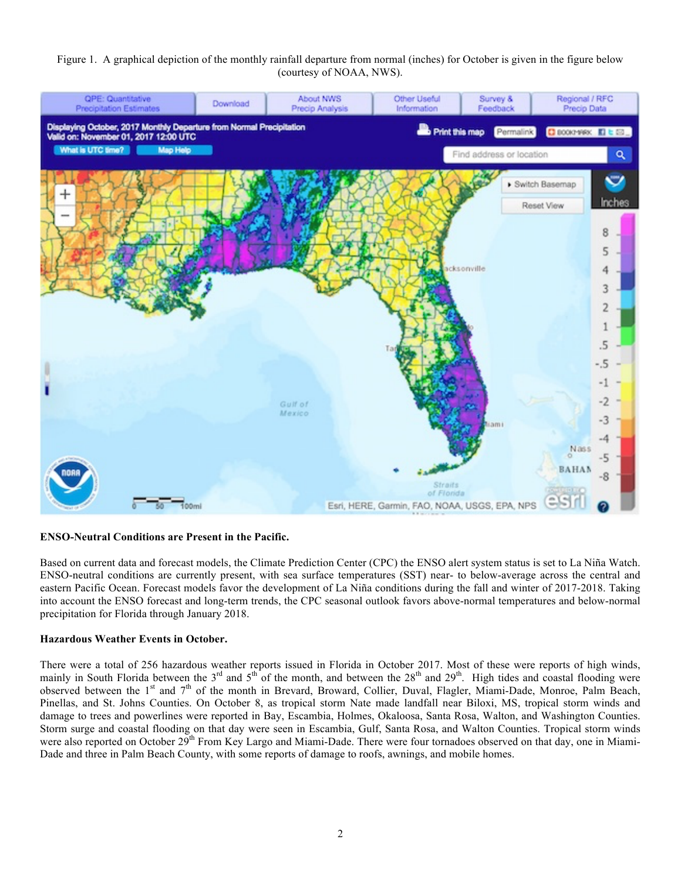### Figure 1. A graphical depiction of the monthly rainfall departure from normal (inches) for October is given in the figure below (courtesy of NOAA, NWS).



#### **ENSO-Neutral Conditions are Present in the Pacific.**

Based on current data and forecast models, the Climate Prediction Center (CPC) the ENSO alert system status is set to La Niña Watch. ENSO-neutral conditions are currently present, with sea surface temperatures (SST) near- to below-average across the central and eastern Pacific Ocean. Forecast models favor the development of La Niña conditions during the fall and winter of 2017-2018. Taking into account the ENSO forecast and long-term trends, the CPC seasonal outlook favors above-normal temperatures and below-normal precipitation for Florida through January 2018.

#### **Hazardous Weather Events in October.**

There were a total of 256 hazardous weather reports issued in Florida in October 2017. Most of these were reports of high winds, mainly in South Florida between the  $3<sup>rd</sup>$  and  $5<sup>th</sup>$  of the month, and between the  $28<sup>th</sup>$  and  $29<sup>th</sup>$ . High tides and coastal flooding were observed between the 1<sup>st</sup> and 7<sup>th</sup> of the month in Brevard, Broward, Collier, Duval, Flagler, Miami-Dade, Monroe, Palm Beach, Pinellas, and St. Johns Counties. On October 8, as tropical storm Nate made landfall near Biloxi, MS, tropical storm winds and damage to trees and powerlines were reported in Bay, Escambia, Holmes, Okaloosa, Santa Rosa, Walton, and Washington Counties. Storm surge and coastal flooding on that day were seen in Escambia, Gulf, Santa Rosa, and Walton Counties. Tropical storm winds were also reported on October 29<sup>th</sup> From Key Largo and Miami-Dade. There were four tornadoes observed on that day, one in Miami-Dade and three in Palm Beach County, with some reports of damage to roofs, awnings, and mobile homes.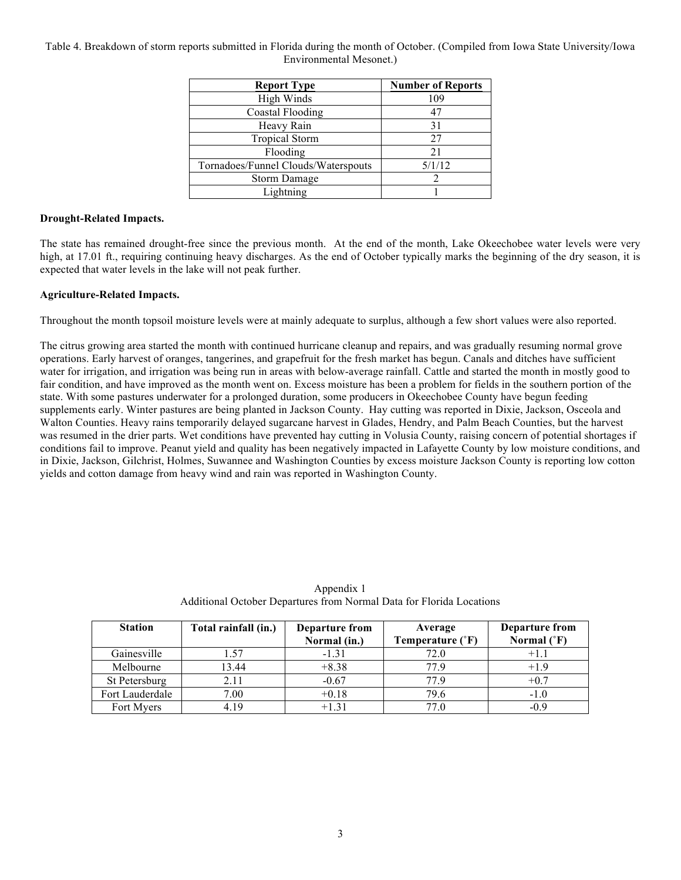## Table 4. Breakdown of storm reports submitted in Florida during the month of October. (Compiled from Iowa State University/Iowa Environmental Mesonet.)

| <b>Report Type</b>                  | <b>Number of Reports</b> |  |
|-------------------------------------|--------------------------|--|
| High Winds                          | 109                      |  |
| <b>Coastal Flooding</b>             |                          |  |
| Heavy Rain                          | 31                       |  |
| <b>Tropical Storm</b>               | 27                       |  |
| Flooding                            | 21                       |  |
| Tornadoes/Funnel Clouds/Waterspouts | 5/1/12                   |  |
| Storm Damage                        |                          |  |
| Lightning                           |                          |  |

## **Drought-Related Impacts.**

The state has remained drought-free since the previous month. At the end of the month, Lake Okeechobee water levels were very high, at 17.01 ft., requiring continuing heavy discharges. As the end of October typically marks the beginning of the dry season, it is expected that water levels in the lake will not peak further.

## **Agriculture-Related Impacts.**

Throughout the month topsoil moisture levels were at mainly adequate to surplus, although a few short values were also reported.

The citrus growing area started the month with continued hurricane cleanup and repairs, and was gradually resuming normal grove operations. Early harvest of oranges, tangerines, and grapefruit for the fresh market has begun. Canals and ditches have sufficient water for irrigation, and irrigation was being run in areas with below-average rainfall. Cattle and started the month in mostly good to fair condition, and have improved as the month went on. Excess moisture has been a problem for fields in the southern portion of the state. With some pastures underwater for a prolonged duration, some producers in Okeechobee County have begun feeding supplements early. Winter pastures are being planted in Jackson County. Hay cutting was reported in Dixie, Jackson, Osceola and Walton Counties. Heavy rains temporarily delayed sugarcane harvest in Glades, Hendry, and Palm Beach Counties, but the harvest was resumed in the drier parts. Wet conditions have prevented hay cutting in Volusia County, raising concern of potential shortages if conditions fail to improve. Peanut yield and quality has been negatively impacted in Lafayette County by low moisture conditions, and in Dixie, Jackson, Gilchrist, Holmes, Suwannee and Washington Counties by excess moisture Jackson County is reporting low cotton yields and cotton damage from heavy wind and rain was reported in Washington County.

| <b>Station</b>  | Total rainfall (in.) | Departure from<br>Normal (in.) | Average<br>Temperature (°F) | Departure from<br>Normal $(^{\circ}F)$ |
|-----------------|----------------------|--------------------------------|-----------------------------|----------------------------------------|
| Gainesville     | 1.57                 | $-1.31$                        | 72.0                        |                                        |
| Melbourne       | 13.44                | $+8.38$                        | 779                         | $+1.9$                                 |
| St Petersburg   | 2.11                 | $-0.67$                        | 77.9                        | $+0.7$                                 |
| Fort Lauderdale | 7.00                 | $+0.18$                        | 79.6                        | $-1.0$                                 |
| Fort Myers      | 4.19                 | $+1.31$                        | 77.0                        | $-0.9$                                 |

Appendix 1 Additional October Departures from Normal Data for Florida Locations